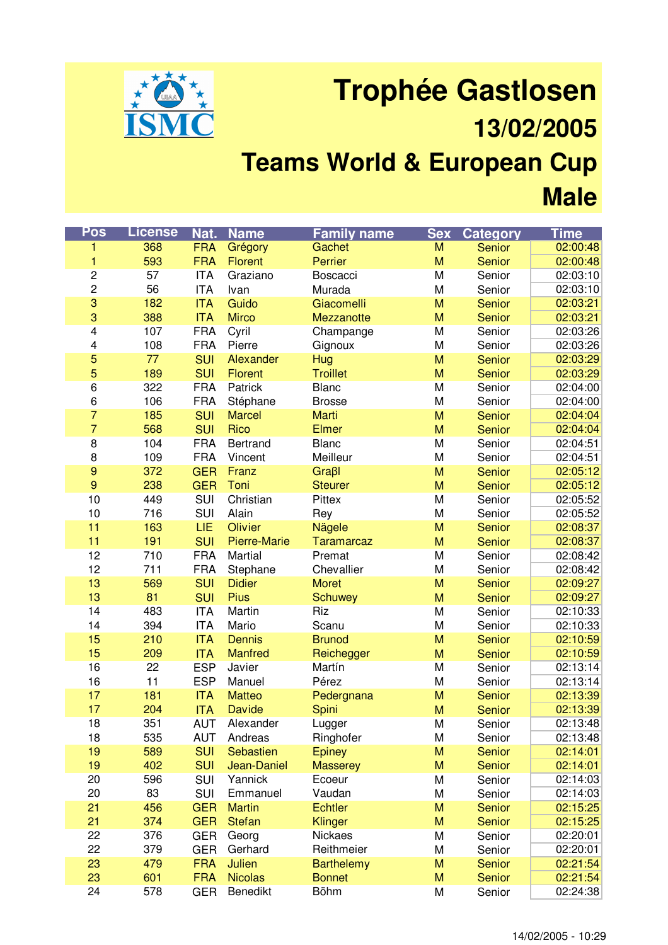

## **Trophée Gastlosen 13/02/2005 Teams World & European Cup Male**

| Pos                     | <b>License</b> | Nat.       | <b>Name</b>         | <b>Family name</b> | <b>Sex</b> | <b>Category</b> | <b>Time</b> |
|-------------------------|----------------|------------|---------------------|--------------------|------------|-----------------|-------------|
| 1                       | 368            | <b>FRA</b> | Grégory             | Gachet             | M          | Senior          | 02:00:48    |
| 1                       | 593            | <b>FRA</b> | <b>Florent</b>      | Perrier            | M          | <b>Senior</b>   | 02:00:48    |
| $\overline{\mathbf{c}}$ | 57             | <b>ITA</b> | Graziano            | Boscacci           | M          | Senior          | 02:03:10    |
| $\mathbf 2$             | 56             | <b>ITA</b> | Ivan                | Murada             | M          | Senior          | 02:03:10    |
| 3                       | 182            | <b>ITA</b> | Guido               | Giacomelli         | M          | Senior          | 02:03:21    |
| $\mathbf 3$             | 388            | <b>ITA</b> | <b>Mirco</b>        | Mezzanotte         | M          | Senior          | 02:03:21    |
| 4                       | 107            | <b>FRA</b> | Cyril               | Champange          | M          | Senior          | 02:03:26    |
| 4                       | 108            | <b>FRA</b> | Pierre              | Gignoux            | M          | Senior          | 02:03:26    |
| 5                       | 77             | <b>SUI</b> | Alexander           | Hug                | M          | Senior          | 02:03:29    |
| 5                       | 189            | <b>SUI</b> | <b>Florent</b>      | <b>Troillet</b>    | M          | Senior          | 02:03:29    |
| $6\overline{}$          | 322            | <b>FRA</b> | Patrick             | <b>Blanc</b>       | M          | Senior          | 02:04:00    |
| 6                       | 106            | <b>FRA</b> | Stéphane            | <b>Brosse</b>      | M          | Senior          | 02:04:00    |
| $\overline{7}$          | 185            | <b>SUI</b> | <b>Marcel</b>       | Marti              | M          | Senior          | 02:04:04    |
| $\overline{7}$          | 568            | <b>SUI</b> | Rico                | <b>Elmer</b>       | M          | Senior          | 02:04:04    |
| $\overline{8}$          | 104            | <b>FRA</b> | <b>Bertrand</b>     | <b>Blanc</b>       | M          | Senior          | 02:04:51    |
| $\bf8$                  | 109            | <b>FRA</b> | Vincent             | Meilleur           | M          | Senior          | 02:04:51    |
| $\boldsymbol{9}$        | 372            | <b>GER</b> | Franz               | Graßl              | M          | Senior          | 02:05:12    |
| 9                       | 238            | <b>GER</b> | Toni                | <b>Steurer</b>     | M          | Senior          | 02:05:12    |
| 10                      | 449            | <b>SUI</b> | Christian           | Pittex             | M          | Senior          | 02:05:52    |
| 10                      | 716            | SUI        | Alain               | Rey                | M          | Senior          | 02:05:52    |
| 11                      | 163            | LIE        | Olivier             | Nägele             | M          | Senior          | 02:08:37    |
| 11                      | 191            | <b>SUI</b> | <b>Pierre-Marie</b> | <b>Taramarcaz</b>  | M          | <b>Senior</b>   | 02:08:37    |
| 12                      | 710            | <b>FRA</b> | Martial             | Premat             | M          | Senior          | 02:08:42    |
| 12                      | 711            | <b>FRA</b> | Stephane            | Chevallier         | M          | Senior          | 02:08:42    |
| 13                      | 569            | <b>SUI</b> | <b>Didier</b>       | <b>Moret</b>       | M          | <b>Senior</b>   | 02:09:27    |
| 13                      | 81             | <b>SUI</b> | <b>Pius</b>         | Schuwey            | M          | Senior          | 02:09:27    |
| 14                      | 483            | <b>ITA</b> | Martin              | Riz                | M          | Senior          | 02:10:33    |
| 14                      | 394            | <b>ITA</b> | Mario               | Scanu              | M          | Senior          | 02:10:33    |
| 15                      | 210            | <b>ITA</b> | <b>Dennis</b>       | <b>Brunod</b>      | M          | Senior          | 02:10:59    |
| 15                      | 209            | <b>ITA</b> | <b>Manfred</b>      | Reichegger         | M          | Senior          | 02:10:59    |
| 16                      | 22             | <b>ESP</b> | Javier              | Martín             | M          | Senior          | 02:13:14    |
| 16                      | 11             | <b>ESP</b> | Manuel              | Pérez              | M          | Senior          | 02:13:14    |
| 17                      | 181            | <b>ITA</b> | <b>Matteo</b>       | Pedergnana         | M          | Senior          | 02:13:39    |
| 17                      | 204            | <b>ITA</b> | <b>Davide</b>       | Spini              | M          | Senior          | 02:13:39    |
| 18                      | 351            | <b>AUT</b> | Alexander           | Lugger             | M          | Senior          | 02:13:48    |
| 18                      | 535            | <b>AUT</b> | Andreas             | Ringhofer          | M          | Senior          | 02:13:48    |
| 19                      | 589            | <b>SUI</b> | Sebastien           | <b>Epiney</b>      | M          | Senior          | 02:14:01    |
| 19                      | 402            | <b>SUI</b> | Jean-Daniel         | <b>Masserey</b>    | M          | Senior          | 02:14:01    |
| 20                      | 596            | SUI        | Yannick             | Ecoeur             | M          | Senior          | 02:14:03    |
| 20                      | 83             | SUI        | Emmanuel            | Vaudan             | M          | Senior          | 02:14:03    |
| 21                      | 456            | <b>GER</b> | <b>Martin</b>       | <b>Echtler</b>     | M          | Senior          | 02:15:25    |
| 21                      | 374            | <b>GER</b> | <b>Stefan</b>       | Klinger            | M          | Senior          | 02:15:25    |
| 22                      | 376            | <b>GER</b> | Georg               | Nickaes            | M          | Senior          | 02:20:01    |
| 22                      | 379            | <b>GER</b> | Gerhard             | Reithmeier         | M          | Senior          | 02:20:01    |
| 23                      | 479            | <b>FRA</b> | Julien              | <b>Barthelemy</b>  | M          | Senior          | 02:21:54    |
| 23                      | 601            | <b>FRA</b> | <b>Nicolas</b>      | <b>Bonnet</b>      | M          | Senior          | 02:21:54    |
| 24                      | 578            | <b>GER</b> | <b>Benedikt</b>     | <b>Böhm</b>        | M          | Senior          | 02:24:38    |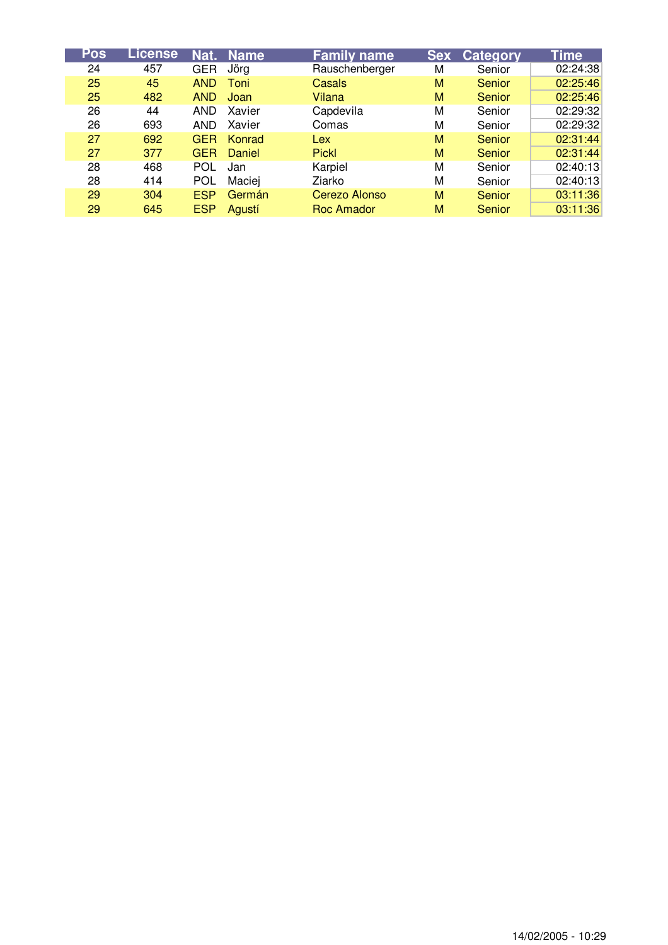| Pos | License | Nat.       | <b>Name</b> | <b>Family name</b> | <b>Sex</b> | <b>Category</b> | <b>Time</b> |
|-----|---------|------------|-------------|--------------------|------------|-----------------|-------------|
| 24  | 457     | <b>GER</b> | Jörg        | Rauschenberger     | М          | Senior          | 02:24:38    |
| 25  | 45      | <b>AND</b> | Toni        | Casals             | M          | Senior          | 02:25:46    |
| 25  | 482     | <b>AND</b> | Joan        | Vilana             | M          | Senior          | 02:25:46    |
| 26  | 44      | AND.       | Xavier      | Capdevila          | M          | Senior          | 02:29:32    |
| 26  | 693     | AND.       | Xavier      | Comas              | М          | Senior          | 02:29:32    |
| 27  | 692     | <b>GER</b> | Konrad      | <b>Lex</b>         | M          | Senior          | 02:31:44    |
| 27  | 377     | <b>GER</b> | Daniel      | <b>Pickl</b>       | M          | Senior          | 02:31:44    |
| 28  | 468     | <b>POL</b> | Jan         | Karpiel            | M          | Senior          | 02:40:13    |
| 28  | 414     | <b>POL</b> | Maciej      | Ziarko             | М          | Senior          | 02:40:13    |
| 29  | 304     | <b>ESP</b> | Germán      | Cerezo Alonso      | M          | Senior          | 03:11:36    |
| 29  | 645     | <b>ESP</b> | Agustí      | Roc Amador         | М          | Senior          | 03:11:36    |